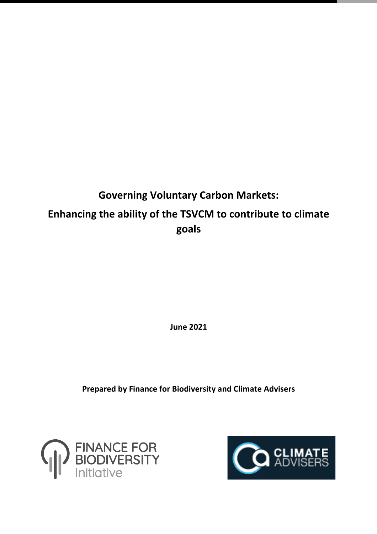# **Governing Voluntary Carbon Markets: Enhancing the ability of the TSVCM to contribute to climate goals**

**June 2021**

**Prepared by Finance for Biodiversity and Climate Advisers**



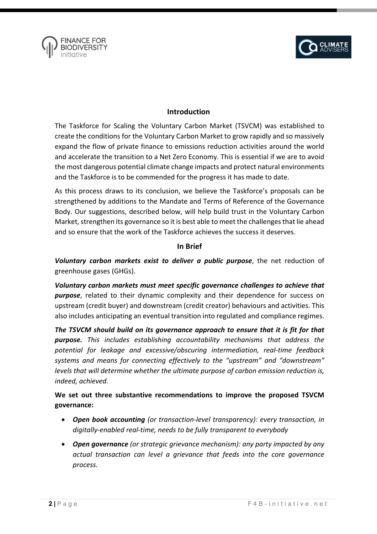



### **Introduction**

The Taskforce for Scaling the Voluntary Carbon Market (TSVCM) was established to create the conditions for the Voluntary Carbon Market to grow rapidly and so massively expand the flow of private finance to emissions reduction activities around the world and accelerate the transition to a Net Zero Economy. This is essential if we are to avoid the most dangerous potential climate change impacts and protect natural environments and the Taskforce is to be commended for the progress it has made to date.

As this process draws to its conclusion, we believe the Taskforce's proposals can be strengthened by additions to the Mandate and Terms of Reference of the Governance Body. Our suggestions, described below, will help build trust in the Voluntary Carbon Market, strengthen its governance so it is best able to meet the challenges that lie ahead and so ensure that the work of the Taskforce achieves the success it deserves.

#### **In Brief**

*Voluntary carbon markets exist to deliver a public purpose*, the net reduction of greenhouse gases (GHGs).

*Voluntary carbon markets must meet specific governance challenges to achieve that purpose*, related to their dynamic complexity and their dependence for success on upstream (credit buyer) and downstream (credit creator) behaviours and activities. This also includes anticipating an eventual transition into regulated and compliance regimes.

*The TSVCM should build on its governance approach to ensure that it is fit for that purpose. This includes establishing accountability mechanisms that address the potential for leakage and excessive/obscuring intermediation, real-time feedback systems and means for connecting effectively to the "upstream" and "downstream" levels that will determine whether the ultimate purpose of carbon emission reduction is, indeed, achieved.* 

# **We set out three substantive recommendations to improve the proposed TSVCM governance:**

- *Open book accounting (or transaction-level transparency): every transaction, in digitally-enabled real-time, needs to be fully transparent to everybody*
- *Open governance (or strategic grievance mechanism): any party impacted by any actual transaction can level a grievance that feeds into the core governance process.*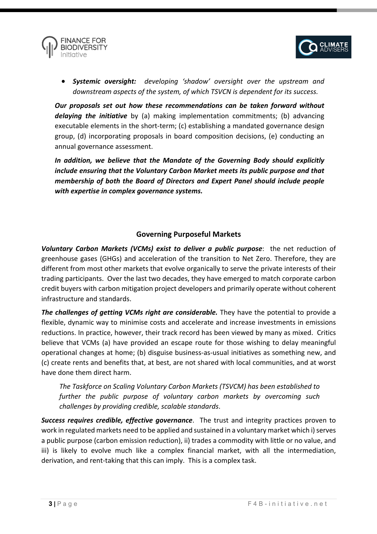



• *Systemic oversight: developing 'shadow' oversight over the upstream and downstream aspects of the system, of which TSVCN is dependent for its success.*

*Our proposals set out how these recommendations can be taken forward without delaying the initiative* by (a) making implementation commitments; (b) advancing executable elements in the short-term; (c) establishing a mandated governance design group, (d) incorporating proposals in board composition decisions, (e) conducting an annual governance assessment.

*In addition, we believe that the Mandate of the Governing Body should explicitly include ensuring that the Voluntary Carbon Market meets its public purpose and that membership of both the Board of Directors and Expert Panel should include people with expertise in complex governance systems.*

# **Governing Purposeful Markets**

*Voluntary Carbon Markets (VCMs) exist to deliver a public purpose*: the net reduction of greenhouse gases (GHGs) and acceleration of the transition to Net Zero. Therefore, they are different from most other markets that evolve organically to serve the private interests of their trading participants. Over the last two decades, they have emerged to match corporate carbon credit buyers with carbon mitigation project developers and primarily operate without coherent infrastructure and standards.

*The challenges of getting VCMs right are considerable.* They have the potential to provide a flexible, dynamic way to minimise costs and accelerate and increase investments in emissions reductions. In practice, however, their track record has been viewed by many as mixed. Critics believe that VCMs (a) have provided an escape route for those wishing to delay meaningful operational changes at home; (b) disguise business-as-usual initiatives as something new, and (c) create rents and benefits that, at best, are not shared with local communities, and at worst have done them direct harm.

*The Taskforce on Scaling Voluntary Carbon Markets (TSVCM) has been established to further the public purpose of voluntary carbon markets by overcoming such challenges by providing credible, scalable standards*.

*Success requires credible, effective governance*. The trust and integrity practices proven to work in regulated markets need to be applied and sustained in a voluntary market which i) serves a public purpose (carbon emission reduction), ii) trades a commodity with little or no value, and iii) is likely to evolve much like a complex financial market, with all the intermediation, derivation, and rent-taking that this can imply. This is a complex task.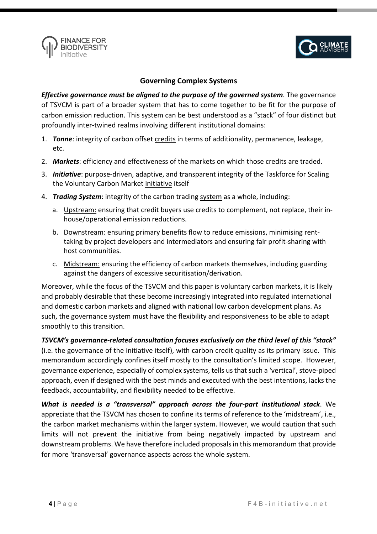![](_page_3_Picture_0.jpeg)

![](_page_3_Picture_1.jpeg)

#### **Governing Complex Systems**

*Effective governance must be aligned to the purpose of the governed system*. The governance of TSVCM is part of a broader system that has to come together to be fit for the purpose of carbon emission reduction. This system can be best understood as a "stack" of four distinct but profoundly inter-twined realms involving different institutional domains:

- 1. *Tonne*: integrity of carbon offset credits in terms of additionality, permanence, leakage, etc.
- 2. *Markets*: efficiency and effectiveness of the markets on which those credits are traded.
- 3. *Initiative*: purpose-driven, adaptive, and transparent integrity of the Taskforce for Scaling the Voluntary Carbon Market initiative itself
- 4. *Trading System*: integrity of the carbon trading system as a whole, including:
	- a. Upstream: ensuring that credit buyers use credits to complement, not replace, their inhouse/operational emission reductions.
	- b. Downstream: ensuring primary benefits flow to reduce emissions, minimising renttaking by project developers and intermediators and ensuring fair profit-sharing with host communities.
	- c. Midstream: ensuring the efficiency of carbon markets themselves, including guarding against the dangers of excessive securitisation/derivation.

Moreover, while the focus of the TSVCM and this paper is voluntary carbon markets, it is likely and probably desirable that these become increasingly integrated into regulated international and domestic carbon markets and aligned with national low carbon development plans. As such, the governance system must have the flexibility and responsiveness to be able to adapt smoothly to this transition.

*TSVCM's governance-related consultation focuses exclusively on the third level of this "stack"* (i.e. the governance of the initiative itself), with carbon credit quality as its primary issue. This memorandum accordingly confines itself mostly to the consultation's limited scope. However, governance experience, especially of complex systems, tells us that such a 'vertical', stove-piped approach, even if designed with the best minds and executed with the best intentions, lacks the feedback, accountability, and flexibility needed to be effective.

*What is needed is a "transversal" approach across the four-part institutional stack*. We appreciate that the TSVCM has chosen to confine its terms of reference to the 'midstream', i.e., the carbon market mechanisms within the larger system. However, we would caution that such limits will not prevent the initiative from being negatively impacted by upstream and downstream problems. We have therefore included proposals in this memorandum that provide for more 'transversal' governance aspects across the whole system.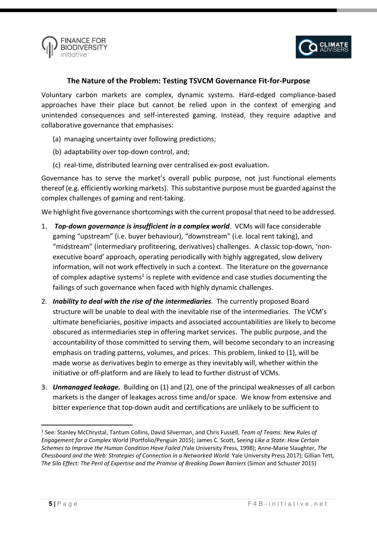![](_page_4_Picture_0.jpeg)

![](_page_4_Picture_1.jpeg)

#### **The Nature of the Problem: Testing TSVCM Governance Fit-for-Purpose**

Voluntary carbon markets are complex, dynamic systems. Hard-edged compliance-based approaches have their place but cannot be relied upon in the context of emerging and unintended consequences and self-interested gaming. Instead, they require adaptive and collaborative governance that emphasises:

- (a) managing uncertainty over following predictions;
- (b) adaptability over top-down control, and;
- (c) real-time, distributed learning over centralised ex-post evaluation.

Governance has to serve the market's overall public purpose, not just functional elements thereof (e.g. efficiently working markets). This substantive purpose must be guarded against the complex challenges of gaming and rent-taking.

We highlight five governance shortcomings with the current proposal that need to be addressed.

- 1. *Top-down governance is insufficient in a complex world*. VCMs will face considerable gaming "upstream" (i.e. buyer behaviour), "downstream" (i.e. local rent taking), and "midstream" (intermediary profiteering, derivatives) challenges. A classic top-down, 'nonexecutive board' approach, operating periodically with highly aggregated, slow delivery information, will not work effectively in such a context. The literature on the governance of complex adaptive systems<sup>1</sup> is replete with evidence and case studies documenting the failings of such governance when faced with highly dynamic challenges.
- 2. *Inability to deal with the rise of the intermediaries*. The currently proposed Board structure will be unable to deal with the inevitable rise of the intermediaries. The VCM's ultimate beneficiaries, positive impacts and associated accountabilities are likely to become obscured as intermediaries step in offering market services. The public purpose, and the accountability of those committed to serving them, will become secondary to an increasing emphasis on trading patterns, volumes, and prices. This problem, linked to (1), will be made worse as derivatives begin to emerge as they inevitably will, whether within the initiative or off-platform and are likely to lead to further distrust of VCMs.
- 3. *Unmanaged leakage.* Building on (1) and (2), one of the principal weaknesses of all carbon markets is the danger of leakages across time and/or space. We know from extensive and bitter experience that top-down audit and certifications are unlikely to be sufficient to

<sup>1</sup> See: Stanley McChrystal, Tantum Collins, David Silverman, and Chris Fussell, *Team of Teams: New Rules of Engagement for a Complex* World (Portfolio/Penguin 2015); James C. Scott, *Seeing Like a State: How Certain Schemes to Improve the Human Condition Have Failed (*Yale University Press, 1998); Anne-Marie Slaughter, *The Chessboard and the Web: Strategies of Connection in a Networked World* Yale University Press 2017); Gillian Tett, The Silo Effect: The Peril of Expertise and the Promise of Breaking Down Barriers (Simon and Schuster 2015)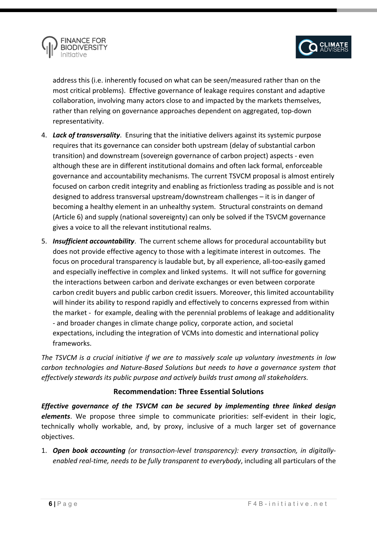![](_page_5_Picture_0.jpeg)

![](_page_5_Picture_1.jpeg)

address this (i.e. inherently focused on what can be seen/measured rather than on the most critical problems). Effective governance of leakage requires constant and adaptive collaboration, involving many actors close to and impacted by the markets themselves, rather than relying on governance approaches dependent on aggregated, top-down representativity.

- 4. *Lack of transversality*. Ensuring that the initiative delivers against its systemic purpose requires that its governance can consider both upstream (delay of substantial carbon transition) and downstream (sovereign governance of carbon project) aspects - even although these are in different institutional domains and often lack formal, enforceable governance and accountability mechanisms. The current TSVCM proposal is almost entirely focused on carbon credit integrity and enabling as frictionless trading as possible and is not designed to address transversal upstream/downstream challenges – it is in danger of becoming a healthy element in an unhealthy system. Structural constraints on demand (Article 6) and supply (national sovereignty) can only be solved if the TSVCM governance gives a voice to all the relevant institutional realms.
- 5. *Insufficient accountability*. The current scheme allows for procedural accountability but does not provide effective agency to those with a legitimate interest in outcomes. The focus on procedural transparency is laudable but, by all experience, all-too-easily gamed and especially ineffective in complex and linked systems. It will not suffice for governing the interactions between carbon and derivate exchanges or even between corporate carbon credit buyers and public carbon credit issuers. Moreover, this limited accountability will hinder its ability to respond rapidly and effectively to concerns expressed from within the market - for example, dealing with the perennial problems of leakage and additionality - and broader changes in climate change policy, corporate action, and societal expectations, including the integration of VCMs into domestic and international policy frameworks.

*The TSVCM is a crucial initiative if we are to massively scale up voluntary investments in low carbon technologies and Nature-Based Solutions but needs to have a governance system that effectively stewards its public purpose and actively builds trust among all stakeholders.*

# **Recommendation: Three Essential Solutions**

*Effective governance of the TSVCM can be secured by implementing three linked design elements*. We propose three simple to communicate priorities: self-evident in their logic, technically wholly workable, and, by proxy, inclusive of a much larger set of governance objectives.

1. *Open book accounting (or transaction-level transparency): every transaction, in digitallyenabled real-time, needs to be fully transparent to everybody*, including all particulars of the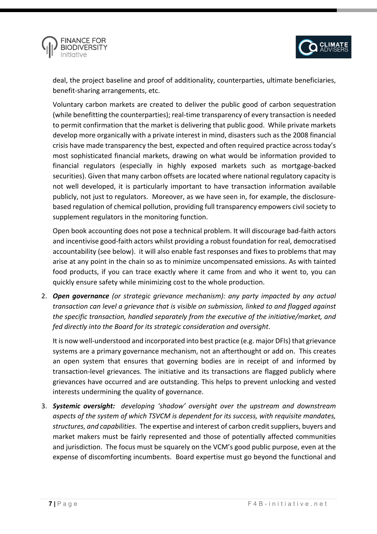![](_page_6_Picture_0.jpeg)

![](_page_6_Picture_1.jpeg)

deal, the project baseline and proof of additionality, counterparties, ultimate beneficiaries, benefit-sharing arrangements, etc.

Voluntary carbon markets are created to deliver the public good of carbon sequestration (while benefitting the counterparties); real-time transparency of every transaction is needed to permit confirmation that the market is delivering that public good. While private markets develop more organically with a private interest in mind, disasters such as the 2008 financial crisis have made transparency the best, expected and often required practice across today's most sophisticated financial markets, drawing on what would be information provided to financial regulators (especially in highly exposed markets such as mortgage-backed securities). Given that many carbon offsets are located where national regulatory capacity is not well developed, it is particularly important to have transaction information available publicly, not just to regulators. Moreover, as we have seen in, for example, the disclosurebased regulation of chemical pollution, providing full transparency empowers civil society to supplement regulators in the monitoring function.

Open book accounting does not pose a technical problem. It will discourage bad-faith actors and incentivise good-faith actors whilst providing a robust foundation for real, democratised accountability (see below). it will also enable fast responses and fixes to problems that may arise at any point in the chain so as to minimize uncompensated emissions. As with tainted food products, if you can trace exactly where it came from and who it went to, you can quickly ensure safety while minimizing cost to the whole production.

2. *Open governance (or strategic grievance mechanism): any party impacted by any actual transaction can level a grievance that is visible on submission, linked to and flagged against the specific transaction, handled separately from the executive of the initiative/market, and fed directly into the Board for its strategic consideration and oversight*.

It is now well-understood and incorporated into best practice (e.g. major DFIs) that grievance systems are a primary governance mechanism, not an afterthought or add on. This creates an open system that ensures that governing bodies are in receipt of and informed by transaction-level grievances. The initiative and its transactions are flagged publicly where grievances have occurred and are outstanding. This helps to prevent unlocking and vested interests undermining the quality of governance.

3. *Systemic oversight: developing 'shadow' oversight over the upstream and downstream aspects of the system of which TSVCM is dependent for its success, with requisite mandates, structures, and capabilities*. The expertise and interest of carbon credit suppliers, buyers and market makers must be fairly represented and those of potentially affected communities and jurisdiction. The focus must be squarely on the VCM's good public purpose, even at the expense of discomforting incumbents. Board expertise must go beyond the functional and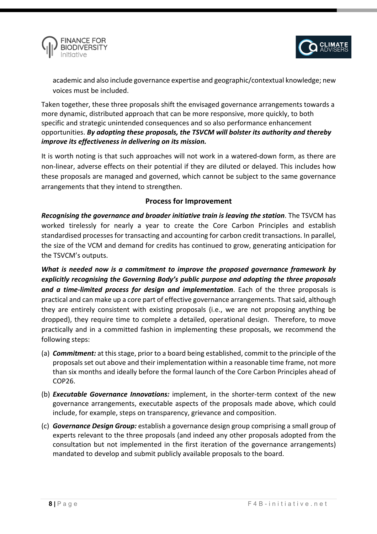![](_page_7_Picture_0.jpeg)

![](_page_7_Picture_1.jpeg)

academic and also include governance expertise and geographic/contextual knowledge; new voices must be included.

Taken together, these three proposals shift the envisaged governance arrangements towards a more dynamic, distributed approach that can be more responsive, more quickly, to both specific and strategic unintended consequences and so also performance enhancement opportunities. *By adopting these proposals, the TSVCM will bolster its authority and thereby improve its effectiveness in delivering on its mission.*

It is worth noting is that such approaches will not work in a watered-down form, as there are non-linear, adverse effects on their potential if they are diluted or delayed. This includes how these proposals are managed and governed, which cannot be subject to the same governance arrangements that they intend to strengthen.

#### **Process for Improvement**

*Recognising the governance and broader initiative train is leaving the station*. The TSVCM has worked tirelessly for nearly a year to create the Core Carbon Principles and establish standardised processes for transacting and accounting for carbon credit transactions. In parallel, the size of the VCM and demand for credits has continued to grow, generating anticipation for the TSVCM's outputs.

*What is needed now is a commitment to improve the proposed governance framework by explicitly recognising the Governing Body's public purpose and adopting the three proposals and a time-limited process for design and implementation*. Each of the three proposals is practical and can make up a core part of effective governance arrangements. That said, although they are entirely consistent with existing proposals (i.e., we are not proposing anything be dropped), they require time to complete a detailed, operational design. Therefore, to move practically and in a committed fashion in implementing these proposals, we recommend the following steps:

- (a) *Commitment:* at this stage, prior to a board being established, commit to the principle of the proposals set out above and their implementation within a reasonable time frame, not more than six months and ideally before the formal launch of the Core Carbon Principles ahead of COP26.
- (b) *Executable Governance Innovations:* implement, in the shorter-term context of the new governance arrangements, executable aspects of the proposals made above, which could include, for example, steps on transparency, grievance and composition.
- (c) *Governance Design Group:* establish a governance design group comprising a small group of experts relevant to the three proposals (and indeed any other proposals adopted from the consultation but not implemented in the first iteration of the governance arrangements) mandated to develop and submit publicly available proposals to the board.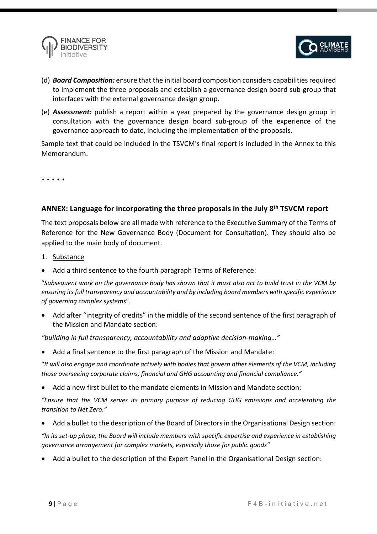![](_page_8_Picture_0.jpeg)

![](_page_8_Picture_1.jpeg)

- (d) *Board Composition:* ensure that the initial board composition considers capabilities required to implement the three proposals and establish a governance design board sub-group that interfaces with the external governance design group.
- (e) *Assessment:* publish a report within a year prepared by the governance design group in consultation with the governance design board sub-group of the experience of the governance approach to date, including the implementation of the proposals.

Sample text that could be included in the TSVCM's final report is included in the Annex to this Memorandum.

\* \* \* \* \*

## **ANNEX: Language for incorporating the three proposals in the July 8th TSVCM report**

The text proposals below are all made with reference to the Executive Summary of the Terms of Reference for the New Governance Body (Document for Consultation). They should also be applied to the main body of document.

- 1. Substance
- Add a third sentence to the fourth paragraph Terms of Reference:

"*Subsequent work on the governance body has shown that it must also act to build trust in the VCM by ensuring its full transparency and accountability and by including board members with specific experience of governing complex systems*".

• Add after "integrity of credits" in the middle of the second sentence of the first paragraph of the Mission and Mandate section:

*"building in full transparency, accountability and adaptive decision-making…"*

• Add a final sentence to the first paragraph of the Mission and Mandate:

"*It will also engage and coordinate actively with bodies that govern other elements of the VCM, including those overseeing corporate claims, financial and GHG accounting and financial compliance."*

• Add a new first bullet to the mandate elements in Mission and Mandate section:

*"Ensure that the VCM serves its primary purpose of reducing GHG emissions and accelerating the transition to Net Zero."*

• Add a bullet to the description of the Board of Directors in the Organisational Design section:

*"In its set-up phase, the Board will include members with specific expertise and experience in establishing governance arrangement for complex markets, especially those for public goods"*

• Add a bullet to the description of the Expert Panel in the Organisational Design section: